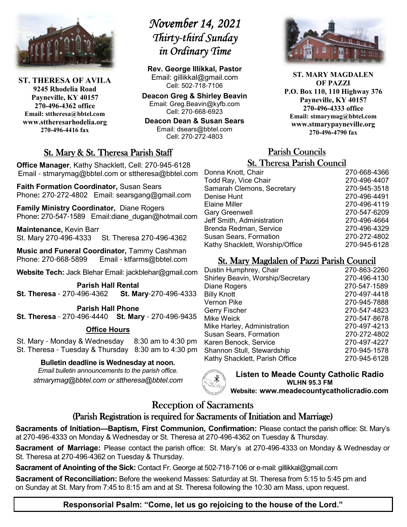

**ST. THERESA OF AVILA 9245 Rhodelia Road Payneville, KY 40157 270-496-4362 office Email: sttheresa@bbtel.com www.sttheresarhodelia.org 270-496-4416 fax**

# *<u>November 14, 2021</u>*  $Thirty$ -third Sunday *in Ordinary Time*

**Rev. George Illikkal, Pastor** Email: gillikkal@gmail.com Cell: 502-718-7106

**Deacon Greg & Shirley Beavin** Email: Greg.Beavin@kyfb.com Cell: 270-668-6923

**Deacon Dean & Susan Sears** Email: dsears@bbtel.com Cell: 270-272-4803

## St. Mary & St. Theresa Parish Staff

**Office Manager**, Kathy Shacklett, Cell: 270-945-6128 Email - stmarymag@bbtel.com or sttheresa@bbtel.com

**Faith Formation Coordinator,** Susan Sears Phone**:** 270-272-4802Email: searsgang@gmail.com

**Family Ministry Coordinator,** Diane Rogers Phone: 270-547-1589 Email:diane\_dugan@hotmail.com

**Maintenance,** Kevin Barr St. Mary 270-496-4333 St. Theresa 270-496-4362

**Music and Funeral Coordinator,** Tammy Cashman Phone: 270-668-5899 Email - ktfarms@bbtel.com

**Website Tech:** Jack Blehar Email: jackblehar@gmail.com

**Parish Hall Rental St. Theresa** - 270-496-4362 **St. Mary**-270-496-4333

#### **Parish Hall Phone St. Theresa** - 270-496-4440 **St. Mary** - 270-496-9435

#### **Office Hours**

St. Mary - Monday & Wednesday 8:30 am to 4:30 pm St. Theresa - Tuesday & Thursday 8:30 am to 4:30 pm

#### **Bulletin deadline is Wednesday at noon.**

*Email bulletin announcements to the parish office. stmarymag@bbtel.com or sttheresa@bbtel.com*



**Listen to Meade County Catholic Radio WLHN 95.3 FM Website: www.meadecountycatholicradio.com**

## Reception of Sacraments

#### (Parish Registration is required for Sacraments of Initiation and Marriage)

**Sacraments of Initiation—Baptism, First Communion, Confirmation:** Please contact the parish office: St. Mary's at 270-496-4333 on Monday & Wednesday or St. Theresa at 270-496-4362 on Tuesday & Thursday.

**Sacrament of Marriage:** Please contact the parish office: St. Mary's at 270-496-4333 on Monday & Wednesday or St. Theresa at 270-496-4362 on Tuesday & Thursday.

**Sacrament of Anointing of the Sick:** Contact Fr. George at 502-718-7106 or e-mail: gillikkal@gmail.com

**Sacrament of Reconciliation:** Before the weekend Masses: Saturday at St. Theresa from 5:15 to 5:45 pm and on Sunday at St. Mary from 7:45 to 8:15 am and at St. Theresa following the 10:30 am Mass, upon request.

**ST. MARY MAGDALEN OF PAZZI P.O. Box 110, 110 Highway 376 Payneville, KY 40157 270-496-4333 office Email: stmarymag@bbtel.com www.stmarypayneville.org 270-496-4790 fax**

# Parish Councils Parish Councils

| <b>St. Theresa Parish Council</b> |  |  |  |
|-----------------------------------|--|--|--|
| 270-668-4366                      |  |  |  |
| 270-496-4407                      |  |  |  |
| 270-945-3518                      |  |  |  |
| 270-496-4491                      |  |  |  |
| 270-496-4119                      |  |  |  |
| 270-547-6209                      |  |  |  |
| 270-496-4664                      |  |  |  |
| 270-496-4329                      |  |  |  |
| 270-272-4802                      |  |  |  |
| 270-945-6128                      |  |  |  |
|                                   |  |  |  |

## St. Mary Magdalen of Pazzi Parish Council

| Dustin Humphrey, Chair            | 270-863-2260 |
|-----------------------------------|--------------|
| Shirley Beavin, Worship/Secretary | 270-496-4130 |
| Diane Rogers                      | 270-547-1589 |
| <b>Billy Knott</b>                | 270-497-4418 |
| Vernon Pike                       | 270-945-7888 |
| Gerry Fischer                     | 270-547-4823 |
| Mike Weick                        | 270-547-8678 |
| Mike Harley, Administration       | 270-497-4213 |
| Susan Sears, Formation            | 270-272-4802 |
| Karen Benock, Service             | 270-497-4227 |
| Shannon Stull, Stewardship        | 270-945-1578 |
| Kathy Shacklett, Parish Office    | 270-945-6128 |
|                                   |              |

**Responsorial Psalm: "Come, let us go rejoicing to the house of the Lord."**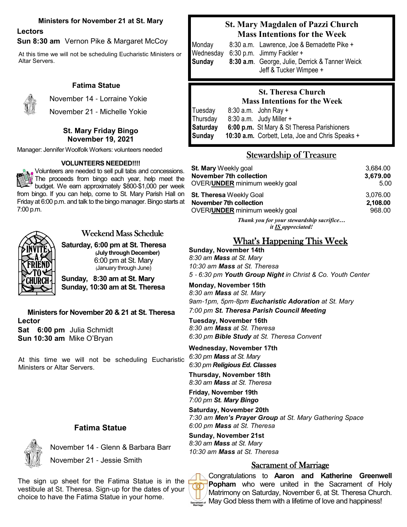#### **Ministers for November 21 at St. Mary**

## **Lectors**

**Sun 8:30 am** Vernon Pike & Margaret McCoy

At this time we will not be scheduling Eucharistic Ministers or Altar Servers.

#### **Fatima Statue**



November 14 - Lorraine Yokie November 21 - Michelle Yokie

> **St. Mary Friday Bingo November 19, 2021**

Manager: Jennifer Woolfolk Workers: volunteers needed

#### **VOLUNTEERS NEEDED!!!!**

Volunteers are needed to sell pull tabs and concessions. The proceeds from bingo each year, help meet the budget. We earn approximately \$800-\$1,000 per week from bingo. If you can help, come to St. Mary Parish Hall on Friday at 6:00 p.m. and talk to the bingo manager. Bingo starts at 7:00 p.m.



## Weekend Mass Schedule

**Saturday, 6:00 pm at St. Theresa (July through December)**  6:00 pm at St. Mary (January through June)

**Sunday, 8:30 am at St. Mary Sunday, 10:30 am at St. Theresa**

**Ministers for November 20 & 21 at St. Theresa Lector Sat 6:00 pm** Julia Schmidt **Sun 10:30 am** Mike O'Bryan

At this time we will not be scheduling Eucharistic Ministers or Altar Servers.

#### **Fatima Statue**

 November 14 - Glenn & Barbara Barr November 21 - Jessie Smith

The sign up sheet for the Fatima Statue is in the vestibule at St. Theresa. Sign-up for the dates of your choice to have the Fatima Statue in your home.

#### **St. Mary Magdalen of Pazzi Church Mass Intentions for the Week**

Monday8:30 a.m. Lawrence, Joe & Bernadette Pike + Wednesday 6:30 p.m. Jimmy Fackler + **Sunday 8:30 a.m**. George, Julie, Derrick & Tanner Weick Jeff & Tucker Wimpee +

#### **St. Theresa Church Mass Intentions for the Week**

| Tuesday  | $8:30$ a.m. John Ray +                           |
|----------|--------------------------------------------------|
| Thursday | $8:30$ a.m. Judy Miller $+$                      |
| Saturday | 6:00 p.m. St Mary & St Theresa Parishioners      |
| Sunday   | 10:30 a.m. Corbett, Leta, Joe and Chris Speaks + |
|          |                                                  |

### Stewardship of Treasure

| <b>St. Mary</b> Weekly goal              | 3,684.00 |
|------------------------------------------|----------|
| <b>November 7th collection</b>           | 3,679.00 |
| OVER/ <b>UNDER</b> minimum weekly goal   | 5.00     |
| <b>St. Theresa Weekly Goal</b>           | 3,076.00 |
| November 7th collection                  | 2,108.00 |
| OVER/UNDER minimum weekly goal           | 968.00   |
| Thank you for your stewardship sacrifice |          |

*it IS appreciated!*

## What's Happening This Week

**Sunday, November 14th** *8:30 am Mass at St. Mary 10:30 am Mass at St. Theresa 5* - *6:30 pm Youth Group Night in Christ & Co. Youth Center* 

**Monday, November 15th** *8:30 am Mass at St. Mary 9am*-*1pm, 5pm*-*8pm Eucharistic Adoration at St. Mary 7:00 pm St. Theresa Parish Council Meeting*

**Tuesday, November 16th** *8:30 am Mass at St. Theresa 6:30 pm Bible Study at St. Theresa Convent*

**Wednesday, November 17th** *6:30 pm Mass at St. Mary 6:30 pm Religious Ed. Classes* 

**Thursday, November 18th** *8:30 am Mass at St. Theresa*

**Friday, November 19th** *7:00 pm St. Mary Bingo*

**Saturday, November 20th** *7:30 am Men's Prayer Group at St. Mary Gathering Space 6:00 pm Mass at St. Theresa*

**Sunday, November 21st** *8:30 am Mass at St. Mary 10:30 am Mass at St. Theresa*

#### Sacrament of Marriage

Congratulations to **Aaron and Katherine Greenwell Popham** who were united in the Sacrament of Holy Matrimony on Saturday, November 6, at St. Theresa Church. **SACTEMENT OF MAY God bless them with a lifetime of love and happiness!**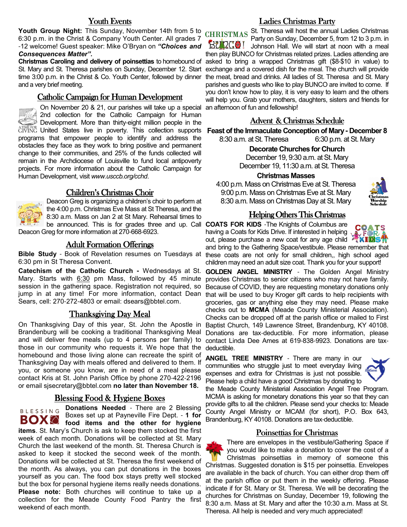#### Youth Events

 **Youth Group Night:** This Sunday, November 14th from 5 to 6:30 p.m. in the Christ & Company Youth Center. All grades 7 -12 welcome! Guest speaker: Mike O'Bryan on *"Choices and Consequences Matter".*

**Christmas Caroling and delivery of poinsettias** to homebound of St. Mary and St. Theresa parishes on Sunday, December 12. Start time 3:00 p.m. in the Christ & Co. Youth Center, followed by dinner and a very brief meeting.

#### Catholic Campaign for Human Development

On November 20 & 21, our parishes will take up a special 2nd collection for the Catholic Campaign for Human **Development.** More than thirty-eight million people in the GIVING United States live in poverty. This collection supports programs that empower people to identify and address the obstacles they face as they work to bring positive and permanent change to their communities, and 25% of the funds collected will remain in the Archdiocese of Louisville to fund local antipoverty projects. For more information about the Catholic Campaign for Human Development, visit *www.usccb.org/cchd*.

#### Children's Christmas Choir

Deacon Greg is organizing a children's choir to perform at the 4:00 p.m. Christmas Eve Mass at St Theresa, and the 8:30 a.m. Mass on Jan 2 at St Mary. Rehearsal times to be announced. This is for grades three and up. Call **COATS FOR KIDS** -The Knights of Columbus are Deacon Greg for more information at 270-668-6923.

#### **Adult Formation Offerings**

**Bible Study** - Book of Revelation resumes on Tuesdays at 6:30 pm in St Theresa Convent.

Mary. Starts with 6:30 pm Mass, followed by 45 minute session in the gathering space. Registration not required, so jump in at any time! For more information, contact Dean Sears, cell: 270-272-4803 or email: dsears@bbtel.com.

#### Thanksgiving Day Meal

On Thanksgiving Day of this year, St. John the Apostle in Brandenburg will be cooking a traditional Thanksgiving Meal and will deliver free meals (up to 4 persons per family) to those in our community who requests it. We hope that the homebound and those living alone can recreate the spirit of Thanksgiving Day with meals offered and delivered to them. If you, or someone you know, are in need of a meal please contact Kris at St. John Parish Office by phone 270-422-2196 or email sjsecretary@bbtel.com **no later than November 18.** 

#### <u>Blessing Food & Hygiene Boxes</u>

**BLESSING Donations Needed** - There are 2 Blessing Boxes set up at Payneville Fire Dept. - **1 for food items and the other for hygiene items**. St. Mary's Church is ask to keep them stocked the first week of each month. Donations will be collected at St. Mary Church the last weekend of the month. St. Theresa Church is asked to keep it stocked the second week of the month. Donations will be collected at St. Theresa the first weekend of the month. As always, you can put donations in the boxes yourself as you can. The food box stays pretty well stocked but the box for personal hygiene items really needs donations. **Please note:** Both churches will continue to take up a collection for the Meade County Food Pantry the first weekend of each month.

#### Ladies Christmas Party

CHRISTMAS St. Theresa will host the annual Ladies Christmas Party on Sunday, December 5, from 12 to 3 p.m. in **QCC** I Johnson Hall. We will start at noon with a meal then play BUNCO for Christmas related prizes. Ladies attending are asked to bring a wrapped Christmas gift (\$8-\$10 in value) to exchange and a covered dish for the meal. The church will provide the meat, bread and drinks. All ladies of St. Theresa and St. Mary parishes and guests who like to play BUNCO are invited to come. If you don't know how to play, it is very easy to learn and the others will help you. Grab your mothers, daughters, sisters and friends for an afternoon of fun and fellowship!

#### Advent & Christmas Schedule

**Feast of the Immaculate Conception of Mary - December 8**

8:30 a.m. at St. Theresa 6:30 p.m. at St. Mary

#### **Decorate Churches for Church**

December 19, 9:30 a.m. at St. Mary December 19, 11:30 a.m. at St. Theresa

#### **Christmas Masses**

4:00 p.m. Mass on Christmas Eve at St. Theresa 9:00 p.m. Mass on Christmas Eve at St. Mary 8:30 a.m. Mass on Christmas Day at St. Mary



#### Helping Others This Christmas

having a Coats for Kids Drive. If interested in helping



out, please purchase a new coat for any age child **XXIDS** and bring to the Gathering Space/vestibule. Please remember that these coats are not only for small children,, high school aged children may need an adult size coat. Thank you for your support!

**Catechism of the Catholic Church -** Wednesdays at St. **GOLDEN ANGEL MINISTRY** - The Golden Angel Ministry provides Christmas to senior citizens who may not have family. Because of COVID, they are requesting monetary donations only that will be used to buy Kroger gift cards to help recipients with groceries, gas or anything else they may need. Please make checks out to **MCMA** (Meade County Ministerial Association). Checks can be dropped off at the parish office or mailed to First Baptist Church, 149 Lawrence Street, Brandenburg, KY 40108. Donations are tax-deductible. For more information, please contact Linda Dee Ames at 619-838-9923. Donations are taxdeductible.

> **ANGEL TREE MINISTRY** - There are many in our communities who struggle just to meet everyday living expenses and extra for Christmas is just not possible. Please help a child have a good Christmas by donating to



the Meade County Ministerial Association Angel Tree Program. MCMA is asking for monetary donations this year so that they can provide gifts to all the children. Please send your checks to: Meade County Angel Ministry or MCAM (for short), P.O. Box 643, Brandenburg, KY 40108. Donations are tax-deductible.

#### Poinsettias for Christmas

There are envelopes in the vestibule/Gathering Space if you would like to make a donation to cover the cost of a Christmas poinsettias in memory of someone this Christmas. Suggested donation is \$15 per poinsettia. Envelopes are available in the back of church. You can either drop them off at the parish office or put them in the weekly offering. Please indicate if for St. Mary or St. Theresa. We will be decorating the churches for Christmas on Sunday, December 19, following the 8:30 a.m. Mass at St. Mary and after the 10:30 a.m. Mass at St. Theresa. All help is needed and very much appreciated!